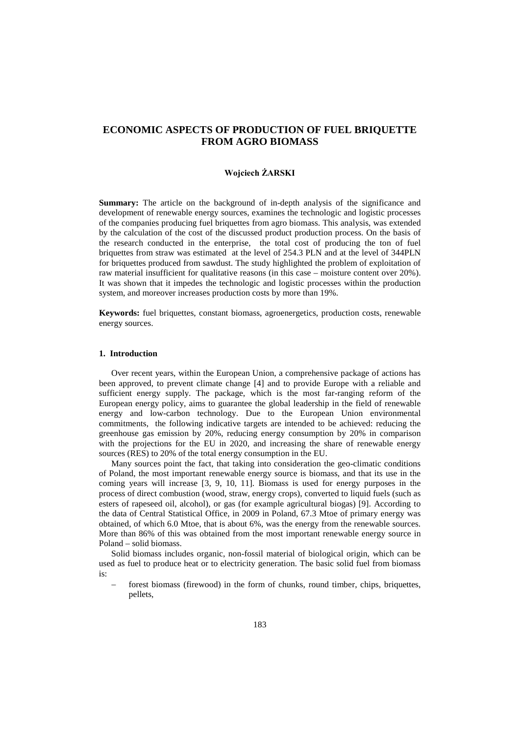# **ECONOMIC ASPECTS OF PRODUCTION OF FUEL BRIQUETTE FROM AGRO BIOMASS**

#### **Wojciech ŻARSKI**

**Summary:** The article on the background of in-depth analysis of the significance and development of renewable energy sources, examines the technologic and logistic processes of the companies producing fuel briquettes from agro biomass. This analysis, was extended by the calculation of the cost of the discussed product production process. On the basis of the research conducted in the enterprise, the total cost of producing the ton of fuel briquettes from straw was estimated at the level of 254.3 PLN and at the level of 344PLN for briquettes produced from sawdust. The study highlighted the problem of exploitation of raw material insufficient for qualitative reasons (in this case – moisture content over 20%). It was shown that it impedes the technologic and logistic processes within the production system, and moreover increases production costs by more than 19%.

**Keywords:** fuel briquettes, constant biomass, agroenergetics, production costs, renewable energy sources.

# **1. Introduction**

Over recent years, within the European Union, a comprehensive package of actions has been approved, to prevent climate change [4] and to provide Europe with a reliable and sufficient energy supply. The package, which is the most far-ranging reform of the European energy policy, aims to guarantee the global leadership in the field of renewable energy and low-carbon technology. Due to the European Union environmental commitments, the following indicative targets are intended to be achieved: reducing the greenhouse gas emission by 20%, reducing energy consumption by 20% in comparison with the projections for the EU in 2020, and increasing the share of renewable energy sources (RES) to 20% of the total energy consumption in the EU.

Many sources point the fact, that taking into consideration the geo-climatic conditions of Poland, the most important renewable energy source is biomass, and that its use in the coming years will increase [3, 9, 10, 11]. Biomass is used for energy purposes in the process of direct combustion (wood, straw, energy crops), converted to liquid fuels (such as esters of rapeseed oil, alcohol), or gas (for example agricultural biogas) [9]. According to the data of Central Statistical Office, in 2009 in Poland, 67.3 Mtoe of primary energy was obtained, of which 6.0 Mtoe, that is about 6%, was the energy from the renewable sources. More than 86% of this was obtained from the most important renewable energy source in Poland – solid biomass.

Solid biomass includes organic, non-fossil material of biological origin, which can be used as fuel to produce heat or to electricity generation. The basic solid fuel from biomass is:

forest biomass (firewood) in the form of chunks, round timber, chips, briquettes, pellets,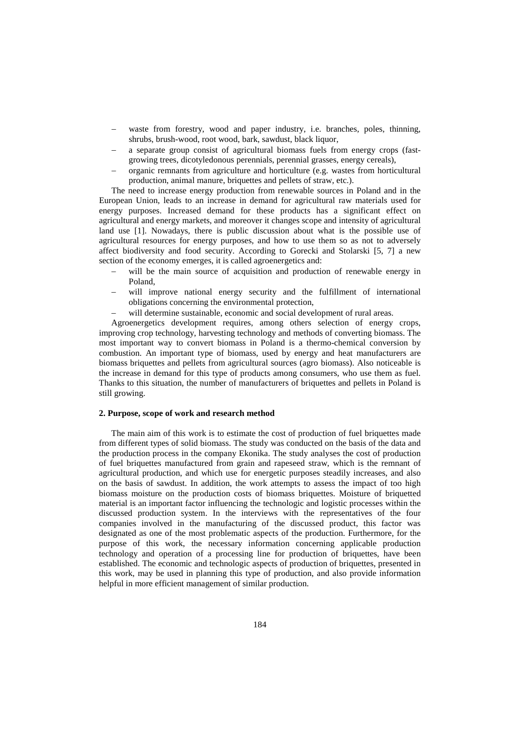- waste from forestry, wood and paper industry, i.e. branches, poles, thinning, shrubs, brush-wood, root wood, bark, sawdust, black liquor,
- a separate group consist of agricultural biomass fuels from energy crops (fastgrowing trees, dicotyledonous perennials, perennial grasses, energy cereals),
- − organic remnants from agriculture and horticulture (e.g. wastes from horticultural production, animal manure, briquettes and pellets of straw, etc.).

The need to increase energy production from renewable sources in Poland and in the European Union, leads to an increase in demand for agricultural raw materials used for energy purposes. Increased demand for these products has a significant effect on agricultural and energy markets, and moreover it changes scope and intensity of agricultural land use [1]. Nowadays, there is public discussion about what is the possible use of agricultural resources for energy purposes, and how to use them so as not to adversely affect biodiversity and food security. According to Gorecki and Stolarski [5, 7] a new section of the economy emerges, it is called agroenergetics and:

- will be the main source of acquisition and production of renewable energy in Poland,
- will improve national energy security and the fulfillment of international obligations concerning the environmental protection,
- will determine sustainable, economic and social development of rural areas.

Agroenergetics development requires, among others selection of energy crops, improving crop technology, harvesting technology and methods of converting biomass. The most important way to convert biomass in Poland is a thermo-chemical conversion by combustion. An important type of biomass, used by energy and heat manufacturers are biomass briquettes and pellets from agricultural sources (agro biomass). Also noticeable is the increase in demand for this type of products among consumers, who use them as fuel. Thanks to this situation, the number of manufacturers of briquettes and pellets in Poland is still growing.

#### **2. Purpose, scope of work and research method**

The main aim of this work is to estimate the cost of production of fuel briquettes made from different types of solid biomass. The study was conducted on the basis of the data and the production process in the company Ekonika. The study analyses the cost of production of fuel briquettes manufactured from grain and rapeseed straw, which is the remnant of agricultural production, and which use for energetic purposes steadily increases, and also on the basis of sawdust. In addition, the work attempts to assess the impact of too high biomass moisture on the production costs of biomass briquettes. Moisture of briquetted material is an important factor influencing the technologic and logistic processes within the discussed production system. In the interviews with the representatives of the four companies involved in the manufacturing of the discussed product, this factor was designated as one of the most problematic aspects of the production. Furthermore, for the purpose of this work, the necessary information concerning applicable production technology and operation of a processing line for production of briquettes, have been established. The economic and technologic aspects of production of briquettes, presented in this work, may be used in planning this type of production, and also provide information helpful in more efficient management of similar production.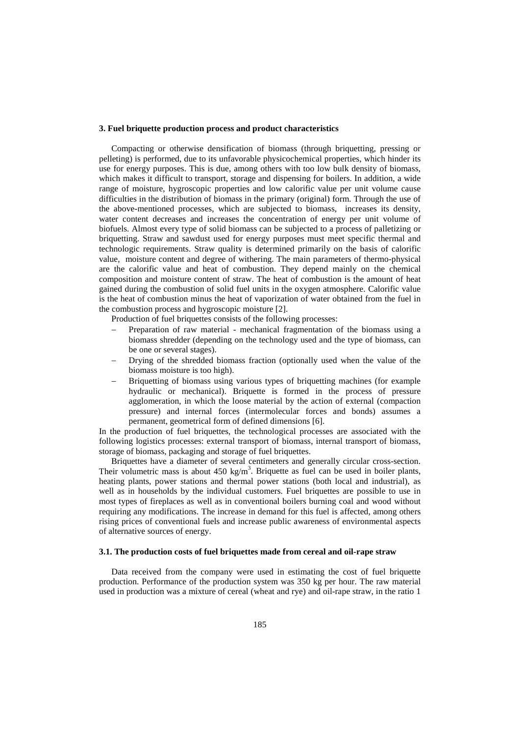# **3. Fuel briquette production process and product characteristics**

Compacting or otherwise densification of biomass (through briquetting, pressing or pelleting) is performed, due to its unfavorable physicochemical properties, which hinder its use for energy purposes. This is due, among others with too low bulk density of biomass, which makes it difficult to transport, storage and dispensing for boilers. In addition, a wide range of moisture, hygroscopic properties and low calorific value per unit volume cause difficulties in the distribution of biomass in the primary (original) form. Through the use of the above-mentioned processes, which are subjected to biomass, increases its density, water content decreases and increases the concentration of energy per unit volume of biofuels. Almost every type of solid biomass can be subjected to a process of palletizing or briquetting. Straw and sawdust used for energy purposes must meet specific thermal and technologic requirements. Straw quality is determined primarily on the basis of calorific value, moisture content and degree of withering. The main parameters of thermo-physical are the calorific value and heat of combustion. They depend mainly on the chemical composition and moisture content of straw. The heat of combustion is the amount of heat gained during the combustion of solid fuel units in the oxygen atmosphere. Calorific value is the heat of combustion minus the heat of vaporization of water obtained from the fuel in the combustion process and hygroscopic moisture [2].

Production of fuel briquettes consists of the following processes:

- Preparation of raw material mechanical fragmentation of the biomass using a biomass shredder (depending on the technology used and the type of biomass, can be one or several stages).
- Drying of the shredded biomass fraction (optionally used when the value of the biomass moisture is too high).
- Briquetting of biomass using various types of briquetting machines (for example hydraulic or mechanical). Briquette is formed in the process of pressure agglomeration, in which the loose material by the action of external (compaction pressure) and internal forces (intermolecular forces and bonds) assumes a permanent, geometrical form of defined dimensions [6].

In the production of fuel briquettes, the technological processes are associated with the following logistics processes: external transport of biomass, internal transport of biomass, storage of biomass, packaging and storage of fuel briquettes.

Briquettes have a diameter of several centimeters and generally circular cross-section. Their volumetric mass is about  $450 \text{ kg/m}^3$ . Briquette as fuel can be used in boiler plants, heating plants, power stations and thermal power stations (both local and industrial), as well as in households by the individual customers. Fuel briquettes are possible to use in most types of fireplaces as well as in conventional boilers burning coal and wood without requiring any modifications. The increase in demand for this fuel is affected, among others rising prices of conventional fuels and increase public awareness of environmental aspects of alternative sources of energy.

#### **3.1. The production costs of fuel briquettes made from cereal and oil-rape straw**

Data received from the company were used in estimating the cost of fuel briquette production. Performance of the production system was 350 kg per hour. The raw material used in production was a mixture of cereal (wheat and rye) and oil-rape straw, in the ratio 1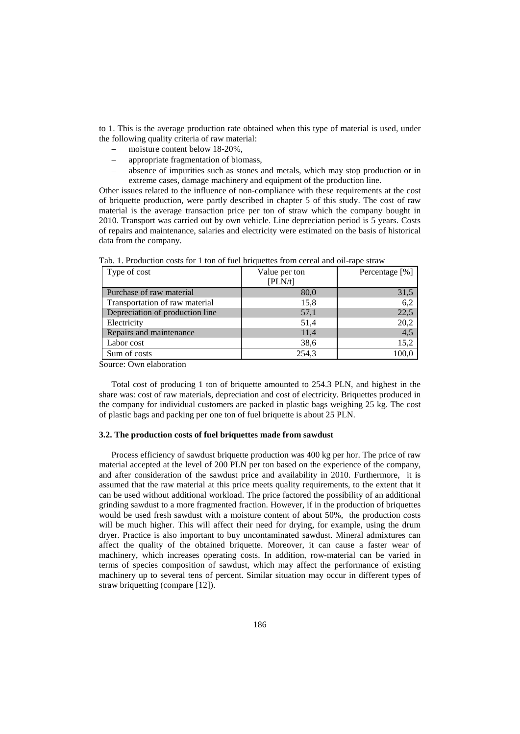to 1. This is the average production rate obtained when this type of material is used, under the following quality criteria of raw material:

- − moisture content below 18-20%,
- appropriate fragmentation of biomass,
- absence of impurities such as stones and metals, which may stop production or in extreme cases, damage machinery and equipment of the production line.

Other issues related to the influence of non-compliance with these requirements at the cost of briquette production, were partly described in chapter 5 of this study. The cost of raw material is the average transaction price per ton of straw which the company bought in 2010. Transport was carried out by own vehicle. Line depreciation period is 5 years. Costs of repairs and maintenance, salaries and electricity were estimated on the basis of historical data from the company.

| Type of cost                    | Value per ton | Percentage [%] |
|---------------------------------|---------------|----------------|
|                                 | [PLN/t]       |                |
| Purchase of raw material        | 80,0          | 31,5           |
| Transportation of raw material  | 15,8          | 6,2            |
| Depreciation of production line | 57,1          | 22,5           |
| Electricity                     | 51,4          | 20,2           |
| Repairs and maintenance         | 11,4          | 4.5            |
| Labor cost                      | 38,6          | 15,2           |
| Sum of costs                    | 254,3         | 100,0          |

Tab. 1. Production costs for 1 ton of fuel briquettes from cereal and oil-rape straw

Source: Own elaboration

Total cost of producing 1 ton of briquette amounted to 254.3 PLN, and highest in the share was: cost of raw materials, depreciation and cost of electricity. Briquettes produced in the company for individual customers are packed in plastic bags weighing 25 kg. The cost of plastic bags and packing per one ton of fuel briquette is about 25 PLN.

#### **3.2. The production costs of fuel briquettes made from sawdust**

Process efficiency of sawdust briquette production was 400 kg per hor. The price of raw material accepted at the level of 200 PLN per ton based on the experience of the company, and after consideration of the sawdust price and availability in 2010. Furthermore, it is assumed that the raw material at this price meets quality requirements, to the extent that it can be used without additional workload. The price factored the possibility of an additional grinding sawdust to a more fragmented fraction. However, if in the production of briquettes would be used fresh sawdust with a moisture content of about 50%, the production costs will be much higher. This will affect their need for drying, for example, using the drum dryer. Practice is also important to buy uncontaminated sawdust. Mineral admixtures can affect the quality of the obtained briquette. Moreover, it can cause a faster wear of machinery, which increases operating costs. In addition, row-material can be varied in terms of species composition of sawdust, which may affect the performance of existing machinery up to several tens of percent. Similar situation may occur in different types of straw briquetting (compare [12]).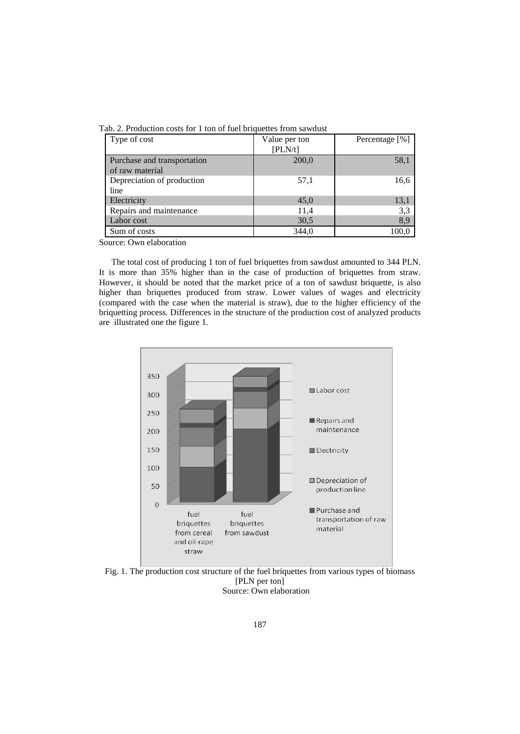| Type of cost                | Value per ton | Percentage [%] |
|-----------------------------|---------------|----------------|
|                             | [PLN/t]       |                |
| Purchase and transportation | 200,0         | 58,1           |
| of raw material             |               |                |
| Depreciation of production  | 57,1          | 16,6           |
| line                        |               |                |
| Electricity                 | 45,0          | 13,1           |
| Repairs and maintenance     | 11,4          | 3,3            |
| Labor cost                  | 30,5          | 8,9            |
| Sum of costs                | 344,0         | 100.0          |

Source: Own elaboration

The total cost of producing 1 ton of fuel briquettes from sawdust amounted to 344 PLN. It is more than 35% higher than in the case of production of briquettes from straw. However, it should be noted that the market price of a ton of sawdust briquette, is also higher than briquettes produced from straw. Lower values of wages and electricity (compared with the case when the material is straw), due to the higher efficiency of the briquetting process. Differences in the structure of the production cost of analyzed products are illustrated one the figure 1.



Fig. 1. The production cost structure of the fuel briquettes from various types of biomass [PLN per ton] Source: Own elaboration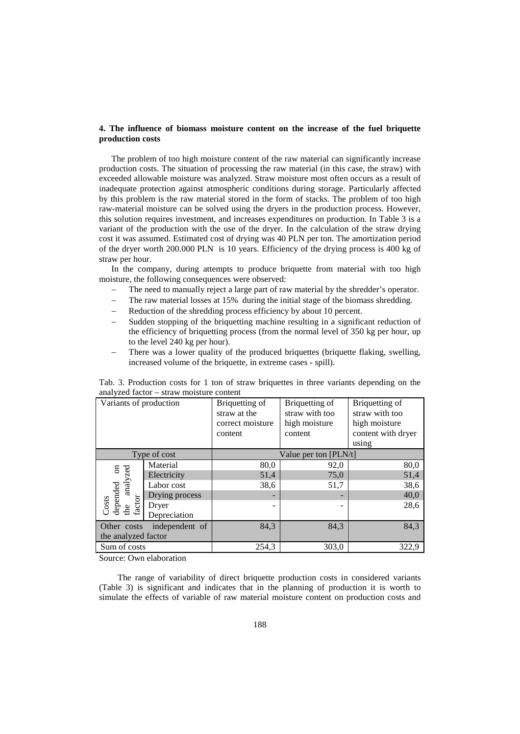# **4. The influence of biomass moisture content on the increase of the fuel briquette production costs**

The problem of too high moisture content of the raw material can significantly increase production costs. The situation of processing the raw material (in this case, the straw) with exceeded allowable moisture was analyzed. Straw moisture most often occurs as a result of inadequate protection against atmospheric conditions during storage. Particularly affected by this problem is the raw material stored in the form of stacks. The problem of too high raw-material moisture can be solved using the dryers in the production process. However, this solution requires investment, and increases expenditures on production. In Table 3 is a variant of the production with the use of the dryer. In the calculation of the straw drying cost it was assumed. Estimated cost of drying was 40 PLN per ton. The amortization period of the dryer worth 200.000 PLN is 10 years. Efficiency of the drying process is 400 kg of straw per hour.

In the company, during attempts to produce briquette from material with too high moisture, the following consequences were observed:

- The need to manually reject a large part of raw material by the shredder's operator.
- The raw material losses at 15% during the initial stage of the biomass shredding.
- Reduction of the shredding process efficiency by about 10 percent.
- Sudden stopping of the briquetting machine resulting in a significant reduction of the efficiency of briquetting process (from the normal level of 350 kg per hour, up to the level 240 kg per hour).
- There was a lower quality of the produced briquettes (briquette flaking, swelling, increased volume of the briquette, in extreme cases - spill).

| Variants of production                                          |                | Briquetting of<br>straw at the<br>correct moisture<br>content | Briquetting of<br>straw with too<br>high moisture<br>content | Briquetting of<br>straw with too<br>high moisture<br>content with dryer<br>using |
|-----------------------------------------------------------------|----------------|---------------------------------------------------------------|--------------------------------------------------------------|----------------------------------------------------------------------------------|
|                                                                 | Type of cost   | Value per ton [PLN/t]                                         |                                                              |                                                                                  |
| nded on<br>analyzed<br>depended<br>the analy<br>factor<br>Costs | Material       | 80,0                                                          | 92,0                                                         | 80,0                                                                             |
|                                                                 | Electricity    | 51,4                                                          | 75,0                                                         | 51,4                                                                             |
|                                                                 | Labor cost     | 38,6                                                          | 51,7                                                         | 38,6                                                                             |
|                                                                 | Drying process |                                                               |                                                              | 40,0                                                                             |
|                                                                 | Dryer          |                                                               |                                                              | 28,6                                                                             |
|                                                                 | Depreciation   |                                                               |                                                              |                                                                                  |
| independent of<br>Other costs                                   |                | 84,3                                                          | 84,3                                                         | 84,3                                                                             |
| the analyzed factor                                             |                |                                                               |                                                              |                                                                                  |
| Sum of costs                                                    |                | 254,3                                                         | 303,0                                                        | 322,9                                                                            |

Tab. 3. Production costs for 1 ton of straw briquettes in three variants depending on the analyzed factor – straw moisture content

Source: Own elaboration

The range of variability of direct briquette production costs in considered variants (Table 3) is significant and indicates that in the planning of production it is worth to simulate the effects of variable of raw material moisture content on production costs and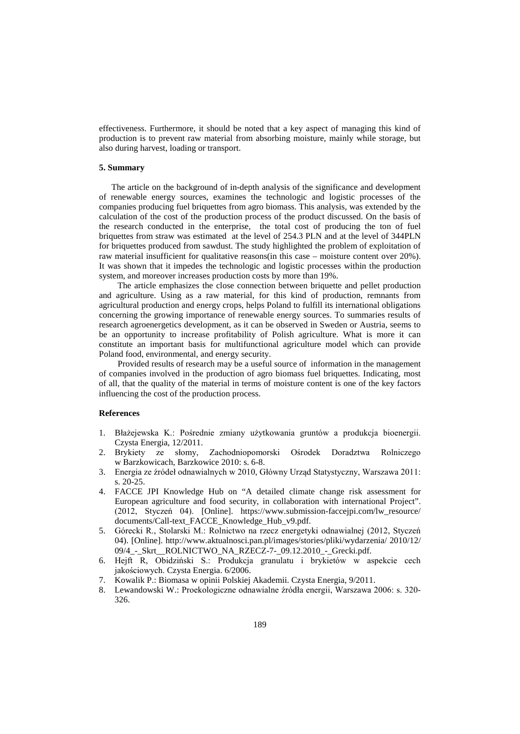effectiveness. Furthermore, it should be noted that a key aspect of managing this kind of production is to prevent raw material from absorbing moisture, mainly while storage, but also during harvest, loading or transport.

## **5. Summary**

The article on the background of in-depth analysis of the significance and development of renewable energy sources, examines the technologic and logistic processes of the companies producing fuel briquettes from agro biomass. This analysis, was extended by the calculation of the cost of the production process of the product discussed. On the basis of the research conducted in the enterprise, the total cost of producing the ton of fuel briquettes from straw was estimated at the level of 254.3 PLN and at the level of 344PLN for briquettes produced from sawdust. The study highlighted the problem of exploitation of raw material insufficient for qualitative reasons(in this case – moisture content over 20%). It was shown that it impedes the technologic and logistic processes within the production system, and moreover increases production costs by more than 19%.

The article emphasizes the close connection between briquette and pellet production and agriculture. Using as a raw material, for this kind of production, remnants from agricultural production and energy crops, helps Poland to fulfill its international obligations concerning the growing importance of renewable energy sources. To summaries results of research agroenergetics development, as it can be observed in Sweden or Austria, seems to be an opportunity to increase profitability of Polish agriculture. What is more it can constitute an important basis for multifunctional agriculture model which can provide Poland food, environmental, and energy security.

Provided results of research may be a useful source of information in the management of companies involved in the production of agro biomass fuel briquettes. Indicating, most of all, that the quality of the material in terms of moisture content is one of the key factors influencing the cost of the production process.

#### **References**

- 1. Błażejewska K.: Pośrednie zmiany użytkowania gruntów a produkcja bioenergii. Czysta Energia, 12/2011.
- 2. Brykiety ze słomy, Zachodniopomorski Ośrodek Doradztwa Rolniczego w Barzkowicach, Barzkowice 2010: s. 6-8.
- 3. Energia ze źródeł odnawialnych w 2010, Główny Urząd Statystyczny, Warszawa 2011: s. 20-25.
- 4. FACCE JPI Knowledge Hub on "A detailed climate change risk assessment for European agriculture and food security, in collaboration with international Project". (2012, Styczeń 04). [Online]. https://www.submission-faccejpi.com/lw\_resource/ documents/Call-text\_FACCE\_Knowledge\_Hub\_v9.pdf.
- 5. Górecki R., Stolarski M.: Rolnictwo na rzecz energetyki odnawialnej (2012, Styczeń 04). [Online]. http://www.aktualnosci.pan.pl/images/stories/pliki/wydarzenia/ 2010/12/ 09/4\_-\_Skrt\_\_ROLNICTWO\_NA\_RZECZ-7-\_09.12.2010\_-\_Grecki.pdf.
- 6. Hejft R, Obidziński S.: Produkcja granulatu i brykietów w aspekcie cech jakościowych. [Czysta Energia.](http://archiwum.komunalny.home.pl/archiwum/index.php?mod=spis&id=3) 6/2006.
- 7. Kowalik P.: Biomasa w opinii Polskiej Akademii. Czysta Energia, 9/2011.
- 8. Lewandowski W.: Proekologiczne odnawialne źródła energii, Warszawa 2006: s. 320- 326.